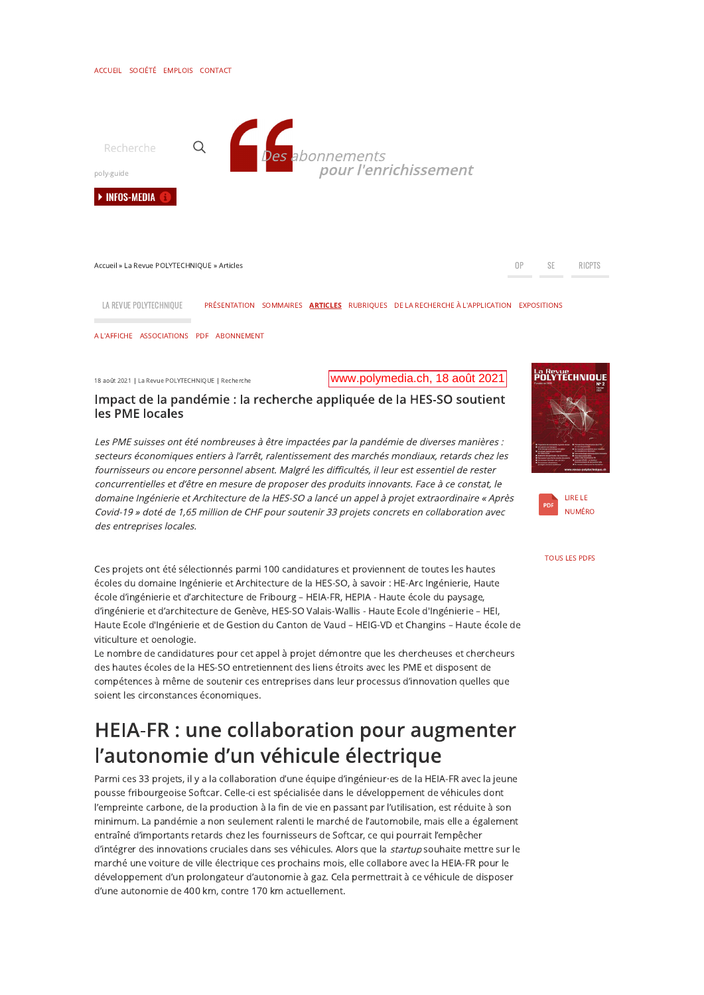#### Impact de la pandémie : la recherche appliquée de la HES-SO soutient les PMF locales

Les PME suisses ont été nombreuses à être impactées par la pandémie de diverses manières : secteurs économiques entiers à l'arrêt, ralentissement des marchés mondiaux, retards chez les fournisseurs ou encore personnel absent. Malgré les difficultés, il leur est essentiel de rester concurrentielles et d'être en mesure de proposer des produits innovants. Face à ce constat, le domaine Ingénierie et Architecture de la HES-SO a lancé un appel à projet extraordinaire « Après Covid-19 » doté de 1,65 million de CHF pour soutenir 33 projets concrets en collaboration avec des entreprises locales.

Ces projets ont été sélectionnés parmi 100 candidatures et proviennent de toutes les hautes écoles du domaine Ingénierie et Architecture de la HES-SO, à savoir : HE-Arc Ingénierie, Haute école d'ingénierie et d'architecture de Fribourg - HEIA-FR, HEPIA - Haute école du paysage, d'ingénierie et d'architecture de Genève. HES-SO Valais-Wallis - Haute Ecole d'Ingénierie – HEI. Haute Ecole d'Ingénierie et de Gestion du Canton de Vaud - HEIG-VD et Changins - Haute école de viticulture et oenologie.

Le nombre de candidatures pour cet appel à projet démontre que les chercheuses et chercheurs des hautes écoles de la HES-SO entretiennent des liens étroits avec les PME et disposent de compétences à même de soutenir ces entreprises dans leur processus d'innovation quelles que soient les circonstances économiques.

### **HEIA-FR: une collaboration pour augmenter** l'autonomie d'un véhicule électrique

Parmi ces 33 projets, il y a la collaboration d'une équipe d'ingénieur es de la HEIA-FR avec la jeune pousse fribourgeoise Softcar. Celle-ci est spécialisée dans le développement de véhicules dont l'empreinte carbone, de la production à la fin de vie en passant par l'utilisation, est réduite à son minimum. La pandémie a non seulement ralenti le marché de l'automobile, mais elle a également entraîné d'importants retards chez les fournisseurs de Softcar, ce qui pourrait l'empêcher d'intégrer des innovations cruciales dans ses véhicules. Alors que la startup souhaite mettre sur le marché une voiture de ville électrique ces prochains mois, elle collabore avec la HEIA-FR pour le développement d'un prolongateur d'autonomie à gaz. Cela permettrait à ce véhicule de disposer d'une autonomie de 400 km, contre 170 km actuellement.